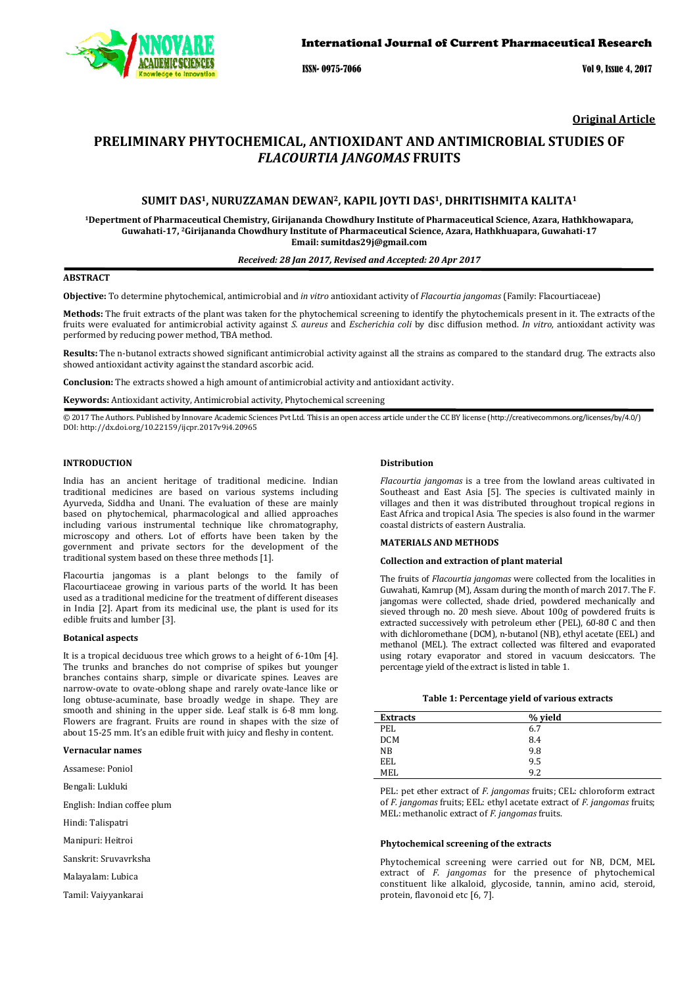

ISSN- 0975-7066 Vol 9, Issue 4, 2017

**Original Article** 

# **PRELIMINARY PHYTOCHEMICAL, ANTIOXIDANT AND ANTIMICROBIAL STUDIES OF**  *FLACOURTIA JANGOMAS* **FRUITS**

# **SUMIT DAS1, NURUZZAMAN DEWAN2, KAPIL JOYTI DAS1, DHRITISHMITA KALITA<sup>1</sup>**

**<sup>1</sup>Depertment of Pharmaceutical Chemistry, Girijananda Chowdhury Institute of Pharmaceutical Science, Azara, Hathkhowapara, Guwahati-17, 2Girijananda Chowdhury Institute of Pharmaceutical Science, Azara, Hathkhuapara, Guwahati-17 Email: sumitdas29j@gmail.com** 

### *Received: 28 Jan 2017, Revised and Accepted: 20 Apr 2017*

# **ABSTRACT**

**Objective:** To determine phytochemical, antimicrobial and *in vitro* antioxidant activity of *Flacourtia jangomas* (Family: Flacourtiaceae)

**Methods:** The fruit extracts of the plant was taken for the phytochemical screening to identify the phytochemicals present in it. The extracts of the fruits were evaluated for antimicrobial activity against *S. aureus* and *Escherichia coli* by disc diffusion method. *In vitro,* antioxidant activity was performed by reducing power method, TBA method.

**Results:** The n-butanol extracts showed significant antimicrobial activity against all the strains as compared to the standard drug. The extracts also showed antioxidant activity against the standard ascorbic acid.

**Conclusion:** The extracts showed a high amount of antimicrobial activity and antioxidant activity.

#### **Keywords:** Antioxidant activity, Antimicrobial activity, Phytochemical screening

© 2017 The Authors. Published by Innovare Academic Sciences Pvt Ltd. This is an open access article under the CC BY license (http://creativecommons.org/licenses/by/4.0/) DOI: http://dx.doi.org/10.22159/ijcpr.2017v9i4.20965

### **INTRODUCTION**

India has an ancient heritage of traditional medicine. Indian traditional medicines are based on various systems including Ayurveda, Siddha and Unani. The evaluation of these are mainly based on phytochemical, pharmacological and allied approaches including various instrumental technique like chromatography, microscopy and others. Lot of efforts have been taken by the government and private sectors for the development of the traditional system based on these three methods [1].

Flacourtia jangomas is a plant belongs to the family of Flacourtiaceae growing in various parts of the world. It has been used as a traditional medicine for the treatment of different diseases in India [2]. Apart from its medicinal use, the plant is used for its edible fruits and lumber [3].

### **Botanical aspects**

It is a tropical deciduous tree which grows to a height of 6-10m [4]. The trunks and branches do not comprise of spikes but younger branches contains sharp, simple or divaricate spines. Leaves are narrow-ovate to ovate-oblong shape and rarely ovate-lance like or long obtuse-acuminate, base broadly wedge in shape. They are smooth and shining in the upper side. Leaf stalk is 6-8 mm long. Flowers are fragrant. Fruits are round in shapes with the size of about 15-25 mm. It's an edible fruit with juicy and fleshy in content.

### **Vernacular names**

Assamese: Poniol

Bengali: Lukluki

English: Indian coffee plum

Hindi: Talispatri

Manipuri: Heitroi

Sanskrit: Sruvavrksha

Malayalam: Lubica

Tamil: Vaiyyankarai

#### **Distribution**

*Flacourtia jangomas* is a tree from the lowland areas cultivated in Southeast and East Asia [5]. The species is cultivated mainly in villages and then it was distributed throughout tropical regions in East Africa and tropical Asia. The species is also found in the warmer coastal districts of eastern Australia.

## **MATERIALS AND METHODS**

### **Collection and extraction of plant material**

The fruits of *Flacourtia jangomas* were collected from the localities in Guwahati, Kamrup (M), Assam during the month of march 2017. The F. jangomas were collected, shade dried, powdered mechanically and sieved through no. 20 mesh sieve. About 100g of powdered fruits is extracted successively with petroleum ether (PEL), 60-80 C and then with dichloromethane (DCM), n-butanol (NB), ethyl acetate (EEL) and methanol (MEL). The extract collected was filtered and evaporated using rotary evaporator and stored in vacuum desiccators. The percentage yield of the extract is listed in table 1.

### **Table 1: Percentage yield of various extracts**

| <b>Extracts</b> | % yield |  |
|-----------------|---------|--|
| PEL             | 6.7     |  |
| <b>DCM</b>      | 8.4     |  |
| NB              | 9.8     |  |
| EEL             | 9.5     |  |
| MEL             | 9.2     |  |

PEL: pet ether extract of *F. jangomas* fruits; CEL: chloroform extract of *F. jangomas* fruits; EEL: ethyl acetate extract of *F. jangomas* fruits; MEL: methanolic extract of *F. jangomas* fruits.

### **Phytochemical screening of the extracts**

Phytochemical screening were carried out for NB, DCM, MEL extract of *F*. *jangomas* for the presence of phytochemical constituent like alkaloid, glycoside, tannin, amino acid, steroid, protein, flavonoid etc [6, 7].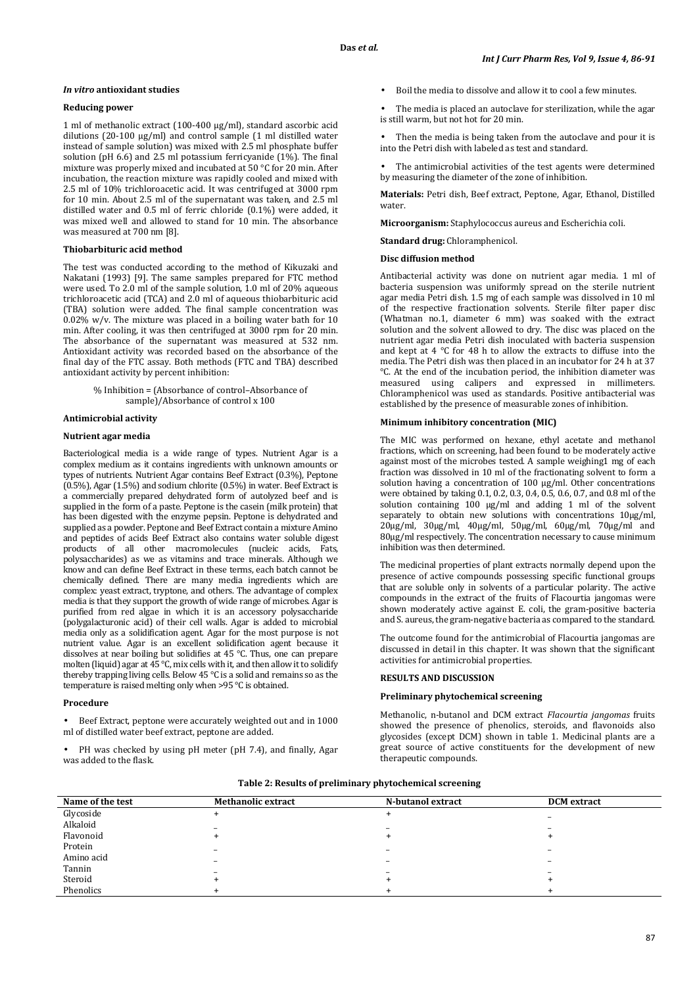### *In vitro* **antioxidant studies**

### **Reducing power**

1 ml of methanolic extract (100-400 μg/ml), standard ascorbic acid dilutions (20-100 μg/ml) and control sample (1 ml distilled water instead of sample solution) was mixed with 2.5 ml phosphate buffer solution (pH 6.6) and 2.5 ml potassium ferricyanide (1%). The final mixture was properly mixed and incubated at 50 °C for 20 min. After incubation, the reaction mixture was rapidly cooled and mixed with 2.5 ml of 10% trichloroacetic acid. It was centrifuged at 3000 rpm for 10 min. About 2.5 ml of the supernatant was taken, and 2.5 ml distilled water and 0.5 ml of ferric chloride (0.1%) were added, it was mixed well and allowed to stand for 10 min. The absorbance was measured at 700 nm [8].

# **Thiobarbituric acid method**

The test was conducted according to the method of Kikuzaki and Nakatani (1993) [9]. The same samples prepared for FTC method were used. To 2.0 ml of the sample solution, 1.0 ml of 20% aqueous trichloroacetic acid (TCA) and 2.0 ml of aqueous thiobarbituric acid (TBA) solution were added. The final sample concentration was  $0.02\%$  w/v. The mixture was placed in a boiling water bath for 10 min. After cooling, it was then centrifuged at 3000 rpm for 20 min. The absorbance of the supernatant was measured at 532 nm. Antioxidant activity was recorded based on the absorbance of the final day of the FTC assay. Both methods (FTC and TBA) described antioxidant activity by percent inhibition:

# % Inhibition = (Absorbance of control–Absorbance of sample)/Absorbance of control x 100

# **Antimicrobial activity**

# **Nutrient agar media**

Bacteriological media is a wide range of types. Nutrient Agar is a complex medium as it contains ingredients with unknown amounts or types of nutrients. Nutrient Agar contains Beef Extract (0.3%), Peptone (0.5%), Agar (1.5%) and sodium chlorite (0.5%) in water. Beef Extract is a commercially prepared dehydrated form of autolyzed beef and is supplied in the form of a paste. Peptone is the casein (milk protein) that has been digested with the enzyme pepsin. Peptone is dehydrated and supplied as a powder. Peptone and Beef Extract contain a mixture Amino and peptides of acids Beef Extract also contains water soluble digest products of all other macromolecules (nucleic acids, Fats, polysaccharides) as we as vitamins and trace minerals. Although we know and can define Beef Extract in these terms, each batch cannot be chemically defined. There are many media ingredients which are complex: yeast extract, tryptone, and others. The advantage of complex media is that they support the growth of wide range of microbes. Agar is purified from red algae in which it is an accessory polysaccharide (polygalacturonic acid) of their cell walls. Agar is added to microbial media only as a solidification agent. Agar for the most purpose is not nutrient value. Agar is an excellent solidification agent because it dissolves at near boiling but solidifies at 45 °C. Thus, one can prepare molten (liquid) agar at  $45^{\circ}$ C, mix cells with it, and then allow it to solidify thereby trapping living cells. Below 45 °C is a solid and remains so as the temperature is raised melting only when >95 °C is obtained.

#### **Procedure**

• Beef Extract, peptone were accurately weighted out and in 1000 ml of distilled water beef extract, peptone are added.

PH was checked by using pH meter (pH 7.4), and finally, Agar was added to the flask.

- Boil the media to dissolve and allow it to cool a few minutes.
- The media is placed an autoclave for sterilization, while the agar is still warm, but not hot for 20 min.
- Then the media is being taken from the autoclave and pour it is into the Petri dish with labeled as test and standard.
- The antimicrobial activities of the test agents were determined by measuring the diameter of the zone of inhibition.

**Materials:** Petri dish, Beef extract, Peptone, Agar, Ethanol, Distilled water.

**Microorganism:** Staphylococcus aureus and Escherichia coli.

**Standard drug:** Chloramphenicol.

#### **Disc diffusion method**

Antibacterial activity was done on nutrient agar media. 1 ml of bacteria suspension was uniformly spread on the sterile nutrient agar media Petri dish. 1.5 mg of each sample was dissolved in 10 ml of the respective fractionation solvents. Sterile filter paper disc (Whatman no.1, diameter 6 mm) was soaked with the extract solution and the solvent allowed to dry. The disc was placed on the nutrient agar media Petri dish inoculated with bacteria suspension and kept at 4 °C for 48 h to allow the extracts to diffuse into the media. The Petri dish was then placed in an incubator for 24 h at 37  $°C$ . At the end of the incubation period, the inhibition diameter was measured using calipers and expressed in millimeters. Chloramphenicol was used as standards. Positive antibacterial was established by the presence of measurable zones of inhibition.

### **Minimum inhibitory concentration (MIC)**

The MIC was performed on hexane, ethyl acetate and methanol fractions, which on screening, had been found to be moderately active against most of the microbes tested. A sample weighing1 mg of each fraction was dissolved in 10 ml of the fractionating solvent to form a solution having a concentration of 100 µg/ml. Other concentrations were obtained by taking 0.1, 0.2, 0.3, 0.4, 0.5, 0.6, 0.7, and 0.8 ml of the solution containing 100 µg/ml and adding 1 ml of the solvent separately to obtain new solutions with concentrations  $10\mu g/ml$ , 20µg/ml, 30µg/ml, 40µg/ml, 50µg/ml, 60µg/ml, 70µg/ml and 80µg/ml respectively. The concentration necessary to cause minimum inhibition was then determined.

The medicinal properties of plant extracts normally depend upon the presence of active compounds possessing specific functional groups that are soluble only in solvents of a particular polarity. The active compounds in the extract of the fruits of Flacourtia jangomas were shown moderately active against E. coli, the gram-positive bacteria and S. aureus, the gram-negative bacteria as compared to the standard.

The outcome found for the antimicrobial of Flacourtia jangomas are discussed in detail in this chapter. It was shown that the significant activities for antimicrobial properties.

### **RESULTS AND DISCUSSION**

### **Preliminary phytochemical screening**

Methanolic, n-butanol and DCM extract *Flacourtia jangomas* fruits showed the presence of phenolics, steroids, and flavonoids also glycosides (except DCM) shown in table 1. Medicinal plants are a great source of active constituents for the development of new therapeutic compounds.

| Table 2: Results of preliminary phytochemical screening |
|---------------------------------------------------------|
|---------------------------------------------------------|

| Name of the test | <b>Methanolic extract</b> | N-butanol extract | <b>DCM</b> extract |
|------------------|---------------------------|-------------------|--------------------|
| Glycoside        |                           |                   |                    |
| Alkaloid         |                           |                   |                    |
| Flavonoid        |                           |                   |                    |
| Protein          |                           |                   |                    |
| Amino acid       | -                         |                   |                    |
| Tannin           |                           |                   |                    |
| Steroid          |                           |                   |                    |
| Phenolics        |                           |                   |                    |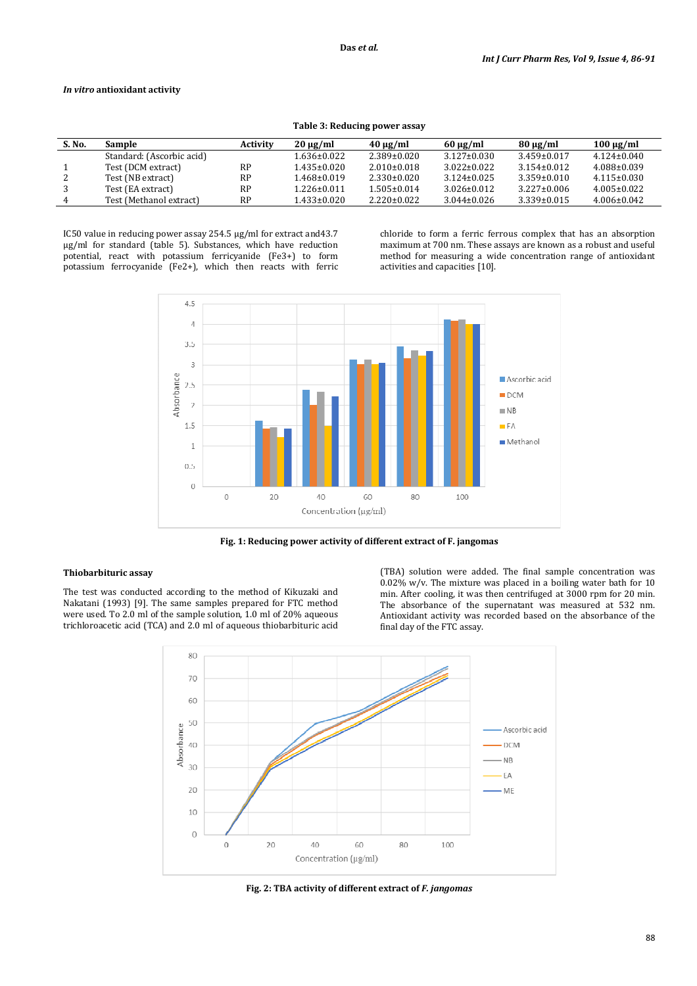## *In vitro* **antioxidant activity**

|        |                           |           |                   | Table 5: Requellig Dower assay |                   |                   |                   |
|--------|---------------------------|-----------|-------------------|--------------------------------|-------------------|-------------------|-------------------|
| S. No. | Sample                    | Activity  | $20 \mu$ g/ml     | $40 \mu$ g/ml                  | $60 \mu g/ml$     | $80 \mu g/ml$     | $100 \mu g/ml$    |
|        | Standard: (Ascorbic acid) |           | 1.636±0.022       | $2.389 \pm 0.020$              | $3.127 \pm 0.030$ | $3.459 \pm 0.017$ | $4.124 \pm 0.040$ |
|        | Test (DCM extract)        | RP        | $1.435 \pm 0.020$ | $2.010\pm0.018$                | $3.022 \pm 0.022$ | $3.154 \pm 0.012$ | $4.088 \pm 0.039$ |
|        | Test (NB extract)         | RP        | $1.468 \pm 0.019$ | $2.330\pm0.020$                | $3.124 \pm 0.025$ | $3.359 \pm 0.010$ | $4.115 \pm 0.030$ |
|        | Test (EA extract)         | <b>RP</b> | $1.226 \pm 0.011$ | $1.505 \pm 0.014$              | $3.026 \pm 0.012$ | $3.227 \pm 0.006$ | $4.005 \pm 0.022$ |
|        | Test (Methanol extract)   | <b>RP</b> | 1.433±0.020       | $2.220 \pm 0.022$              | $3.044 \pm 0.026$ | $3.339 \pm 0.015$ | $4.006 \pm 0.042$ |

**Table 3: Reducing power assay** 

IC50 value in reducing power assay 254.5 μg/ml for extract and43.7 μg/ml for standard (table 5). Substances, which have reduction potential, react with potassium ferricyanide (Fe3+) to form potassium ferrocyanide (Fe2+), which then reacts with ferric chloride to form a ferric ferrous complex that has an absorption maximum at 700 nm. These assays are known as a robust and useful method for measuring a wide concentration range of antioxidant activities and capacities [10].



**Fig. 1: Reducing power activity of different extract of F. jangomas** 

# **Thiobarbituric assay**

The test was conducted according to the method of Kikuzaki and Nakatani (1993) [9]. The same samples prepared for FTC method were used. To 2.0 ml of the sample solution, 1.0 ml of 20% aqueous trichloroacetic acid (TCA) and 2.0 ml of aqueous thiobarbituric acid

(TBA) solution were added. The final sample concentration was 0.02% w/v. The mixture was placed in a boiling water bath for 10 min. After cooling, it was then centrifuged at 3000 rpm for 20 min. The absorbance of the supernatant was measured at 532 nm. Antioxidant activity was recorded based on the absorbance of the final day of the FTC assay.



**Fig. 2: TBA activity of different extract of** *F. jangomas*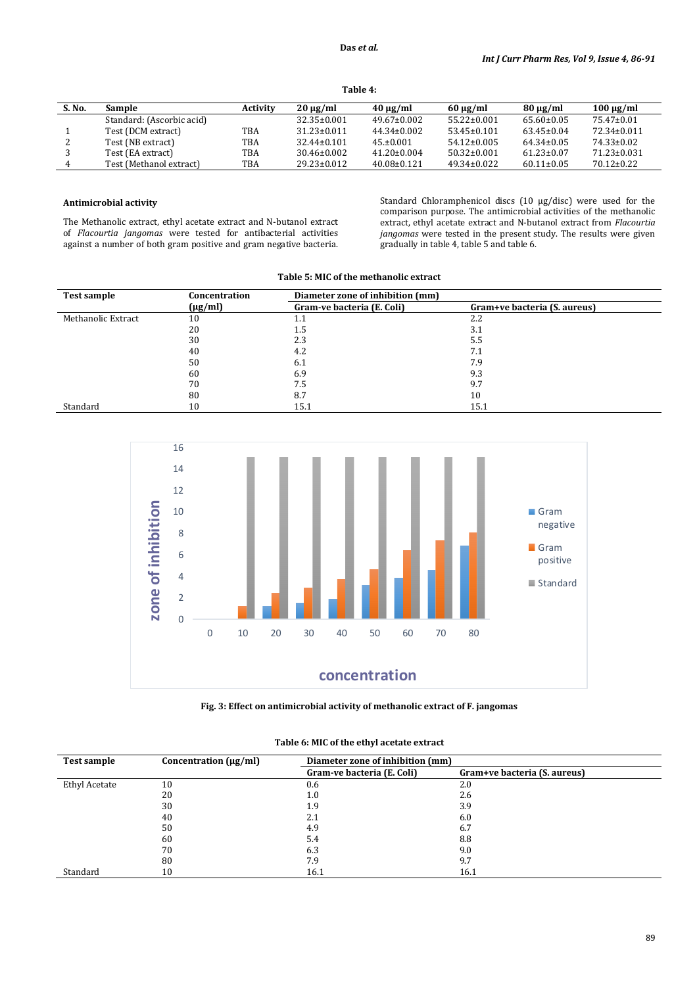```
Table 4:
```

| S. No. | Sample                    | <b>Activity</b> | $20 \mu g/ml$     | $40 \mu g/ml$     | $60 \mu g/ml$     | $80 \mu g/ml$    | $100 \mu g/ml$    |
|--------|---------------------------|-----------------|-------------------|-------------------|-------------------|------------------|-------------------|
|        | Standard: (Ascorbic acid) |                 | $32.35 \pm 0.001$ | $49.67 \pm 0.002$ | $55.22 \pm 0.001$ | $65.60 \pm 0.05$ | 75.47±0.01        |
|        | Test (DCM extract)        | TBA             | $31.23 \pm 0.011$ | $44.34 \pm 0.002$ | $53.45 \pm 0.101$ | $63.45 \pm 0.04$ | 72.34±0.011       |
|        | Test (NB extract)         | TBA             | $32.44 \pm 0.101$ | $45. \pm 0.001$   | $54.12 \pm 0.005$ | $64.34 \pm 0.05$ | 74.33±0.02        |
|        | Test (EA extract)         | TBA             | $30.46 \pm 0.002$ | $41.20 \pm 0.004$ | $50.32 \pm 0.001$ | $61.23 \pm 0.07$ | $71.23 \pm 0.031$ |
| 4      | Test (Methanol extract)   | TBA             | $29.23 \pm 0.012$ | $40.08 \pm 0.121$ | $49.34 \pm 0.022$ | $60.11 \pm 0.05$ | $70.12 \pm 0.22$  |

# **Antimicrobial activity**

The Methanolic extract, ethyl acetate extract and N-butanol extract of *Flacourtia jangomas* were tested for antibacterial activities against a number of both gram positive and gram negative bacteria. Standard Chloramphenicol discs (10 µg/disc) were used for the comparison purpose. The antimicrobial activities of the methanolic extract, ethyl acetate extract and N-butanol extract from *Flacourtia jangomas* were tested in the present study. The results were given gradually in table 4, table 5 and table 6.

| Table 5: MIC of the methanolic extract |  |  |  |  |  |  |  |
|----------------------------------------|--|--|--|--|--|--|--|
|----------------------------------------|--|--|--|--|--|--|--|

| <b>Test sample</b> | Concentration | Diameter zone of inhibition (mm) |                              |
|--------------------|---------------|----------------------------------|------------------------------|
|                    | $(\mu g/ml)$  | Gram-ve bacteria (E. Coli)       | Gram+ve bacteria (S. aureus) |
| Methanolic Extract | 10            | 1.1                              | 2.2                          |
|                    | 20            | 1.5                              | 3.1                          |
|                    | 30            | 2.3                              | 5.5                          |
|                    | 40            | 4.2                              | 7.1                          |
|                    | 50            | 6.1                              | 7.9                          |
|                    | 60            | 6.9                              | 9.3                          |
|                    | 70            | 7.5                              | 9.7                          |
|                    | 80            | 8.7                              | 10                           |
| Standard           | 10            | 15.1                             | 15.1                         |





| Test sample          | Concentration $(\mu g/ml)$ | Diameter zone of inhibition (mm) |                              |
|----------------------|----------------------------|----------------------------------|------------------------------|
|                      |                            | Gram-ve bacteria (E. Coli)       | Gram+ve bacteria (S. aureus) |
| <b>Ethyl Acetate</b> | 10                         | 0.6                              | 2.0                          |
|                      | 20                         | 1.0                              | 2.6                          |
|                      | 30                         | 1.9                              | 3.9                          |
|                      | 40                         | 2.1                              | 6.0                          |
|                      | 50                         | 4.9                              | 6.7                          |
|                      | 60                         | 5.4                              | 8.8                          |
|                      | 70                         | 6.3                              | 9.0                          |
|                      | 80                         | 7.9                              | 9.7                          |
| Standard             | 10                         | 16.1                             | 16.1                         |

## **Table 6: MIC of the ethyl acetate extract**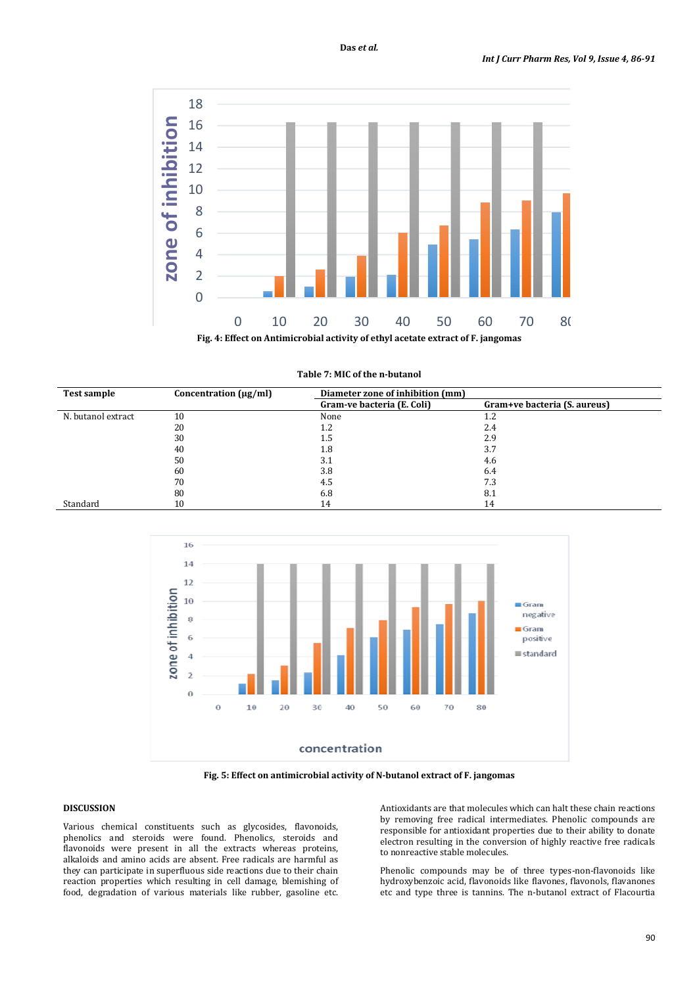

| <b>Test sample</b> | Concentration $(\mu g/ml)$ | Diameter zone of inhibition (mm) |                              |  |
|--------------------|----------------------------|----------------------------------|------------------------------|--|
|                    |                            | Gram-ve bacteria (E. Coli)       | Gram+ve bacteria (S. aureus) |  |
| N. butanol extract | 10                         | None                             | 1.2                          |  |
|                    | 20                         | $1.2\,$                          | 2.4                          |  |
|                    | 30                         | 1.5                              | 2.9                          |  |
|                    | 40                         | 1.8                              | 3.7                          |  |
|                    | 50                         | 3.1                              | 4.6                          |  |
|                    | 60                         | 3.8                              | 6.4                          |  |
|                    | 70                         | 4.5                              | 7.3                          |  |
|                    | 80                         | 6.8                              | 8.1                          |  |
| Standard           | 10                         | 14                               | 14                           |  |



**Fig. 5: Effect on antimicrobial activity of N-butanol extract of F. jangomas** 

# **DISCUSSION**

Various chemical constituents such as glycosides, flavonoids, phenolics and steroids were found. Phenolics, steroids and flavonoids were present in all the extracts whereas proteins, alkaloids and amino acids are absent. Free radicals are harmful as they can participate in superfluous side reactions due to their chain reaction properties which resulting in cell damage, blemishing of food, degradation of various materials like rubber, gasoline etc. Antioxidants are that molecules which can halt these chain reactions by removing free radical intermediates. Phenolic compounds are responsible for antioxidant properties due to their ability to donate electron resulting in the conversion of highly reactive free radicals to nonreactive stable molecules.

Phenolic compounds may be of three types-non-flavonoids like hydroxybenzoic acid, flavonoids like flavones, flavonols, flavanones etc and type three is tannins. The n-butanol extract of Flacourtia